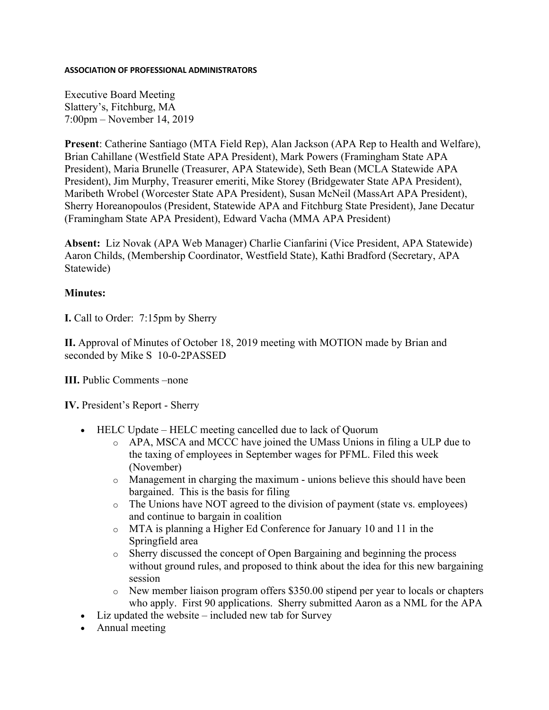#### **ASSOCIATION OF PROFESSIONAL ADMINISTRATORS**

Executive Board Meeting Slattery's, Fitchburg, MA 7:00pm – November 14, 2019

**Present**: Catherine Santiago (MTA Field Rep), Alan Jackson (APA Rep to Health and Welfare), Brian Cahillane (Westfield State APA President), Mark Powers (Framingham State APA President), Maria Brunelle (Treasurer, APA Statewide), Seth Bean (MCLA Statewide APA President), Jim Murphy, Treasurer emeriti, Mike Storey (Bridgewater State APA President), Maribeth Wrobel (Worcester State APA President), Susan McNeil (MassArt APA President), Sherry Horeanopoulos (President, Statewide APA and Fitchburg State President), Jane Decatur (Framingham State APA President), Edward Vacha (MMA APA President)

**Absent:** Liz Novak (APA Web Manager) Charlie Cianfarini (Vice President, APA Statewide) Aaron Childs, (Membership Coordinator, Westfield State), Kathi Bradford (Secretary, APA Statewide)

## **Minutes:**

**I.** Call to Order: 7:15pm by Sherry

**II.** Approval of Minutes of October 18, 2019 meeting with MOTION made by Brian and seconded by Mike S 10-0-2PASSED

# **III.** Public Comments –none

**IV.** President's Report - Sherry

- HELC Update HELC meeting cancelled due to lack of Ouorum
	- o APA, MSCA and MCCC have joined the UMass Unions in filing a ULP due to the taxing of employees in September wages for PFML. Filed this week (November)
	- o Management in charging the maximum unions believe this should have been bargained. This is the basis for filing
	- o The Unions have NOT agreed to the division of payment (state vs. employees) and continue to bargain in coalition
	- o MTA is planning a Higher Ed Conference for January 10 and 11 in the Springfield area
	- o Sherry discussed the concept of Open Bargaining and beginning the process without ground rules, and proposed to think about the idea for this new bargaining session
	- o New member liaison program offers \$350.00 stipend per year to locals or chapters who apply. First 90 applications. Sherry submitted Aaron as a NML for the APA
- Liz updated the website included new tab for Survey
- Annual meeting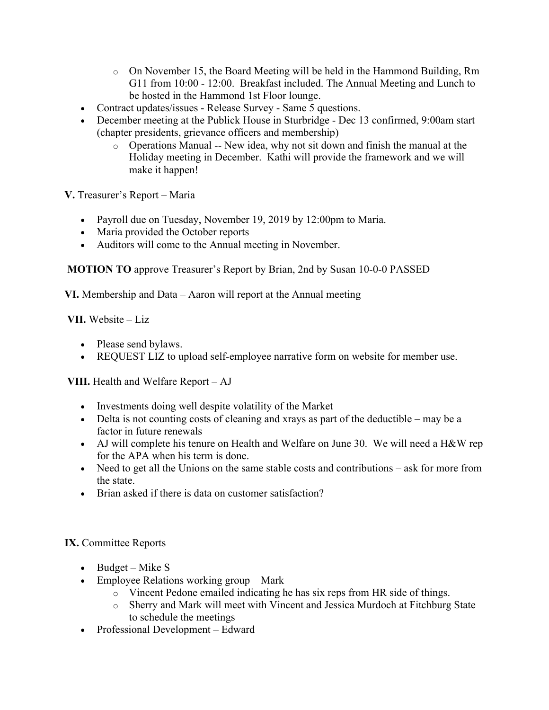- o On November 15, the Board Meeting will be held in the Hammond Building, Rm G11 from 10:00 - 12:00. Breakfast included. The Annual Meeting and Lunch to be hosted in the Hammond 1st Floor lounge.
- Contract updates/issues Release Survey Same 5 questions.
- December meeting at the Publick House in Sturbridge Dec 13 confirmed, 9:00am start (chapter presidents, grievance officers and membership)
	- o Operations Manual -- New idea, why not sit down and finish the manual at the Holiday meeting in December. Kathi will provide the framework and we will make it happen!

**V.** Treasurer's Report – Maria

- Payroll due on Tuesday, November 19, 2019 by 12:00pm to Maria.
- Maria provided the October reports
- Auditors will come to the Annual meeting in November.

**MOTION TO** approve Treasurer's Report by Brian, 2nd by Susan 10-0-0 PASSED

**VI.** Membership and Data – Aaron will report at the Annual meeting

**VII.** Website – Liz

- Please send bylaws.
- REQUEST LIZ to upload self-employee narrative form on website for member use.

**VIII.** Health and Welfare Report – AJ

- Investments doing well despite volatility of the Market
- Delta is not counting costs of cleaning and xrays as part of the deductible may be a factor in future renewals
- AJ will complete his tenure on Health and Welfare on June 30. We will need a H&W rep for the APA when his term is done.
- Need to get all the Unions on the same stable costs and contributions ask for more from the state.
- Brian asked if there is data on customer satisfaction?

**IX.** Committee Reports

- Budget Mike S
- Employee Relations working group Mark
	- o Vincent Pedone emailed indicating he has six reps from HR side of things.
	- o Sherry and Mark will meet with Vincent and Jessica Murdoch at Fitchburg State to schedule the meetings
- Professional Development Edward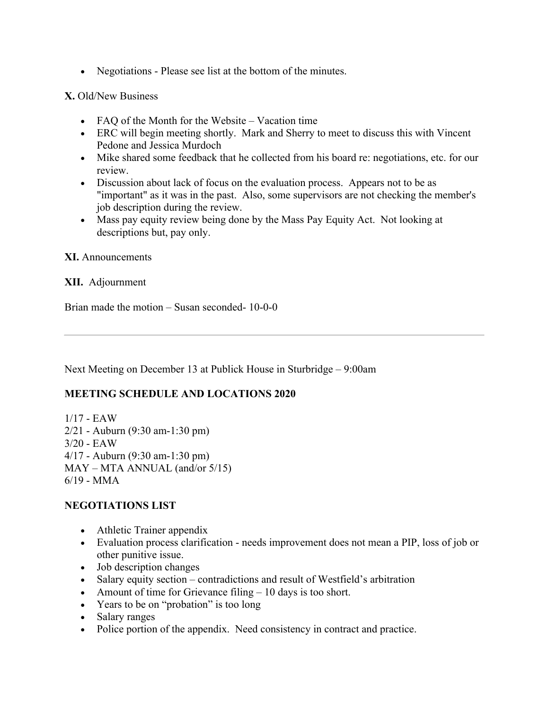• Negotiations - Please see list at the bottom of the minutes.

## **X.** Old/New Business

- FAQ of the Month for the Website Vacation time
- ERC will begin meeting shortly. Mark and Sherry to meet to discuss this with Vincent Pedone and Jessica Murdoch
- Mike shared some feedback that he collected from his board re: negotiations, etc. for our review.
- Discussion about lack of focus on the evaluation process. Appears not to be as "important" as it was in the past. Also, some supervisors are not checking the member's job description during the review.
- Mass pay equity review being done by the Mass Pay Equity Act. Not looking at descriptions but, pay only.

### **XI.** Announcements

## **XII.** Adjournment

Brian made the motion – Susan seconded- 10-0-0

Next Meeting on December 13 at Publick House in Sturbridge – 9:00am

# **MEETING SCHEDULE AND LOCATIONS 2020**

1/17 - EAW 2/21 - Auburn (9:30 am-1:30 pm) 3/20 - EAW 4/17 - Auburn (9:30 am-1:30 pm) MAY – MTA ANNUAL (and/or 5/15) 6/19 - MMA

# **NEGOTIATIONS LIST**

- Athletic Trainer appendix
- Evaluation process clarification needs improvement does not mean a PIP, loss of job or other punitive issue.
- Job description changes
- Salary equity section contradictions and result of Westfield's arbitration
- Amount of time for Grievance filing  $-10$  days is too short.
- Years to be on "probation" is too long
- Salary ranges
- Police portion of the appendix. Need consistency in contract and practice.